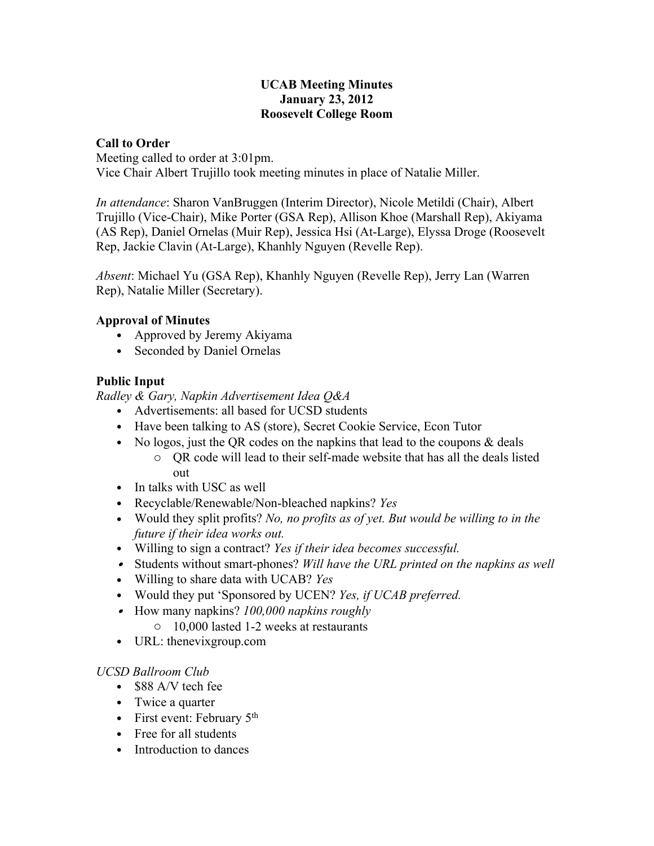#### **UCAB Meeting Minutes January 23, 2012 Roosevelt College Room**

#### **Call to Order**

Meeting called to order at 3:01pm.

Vice Chair Albert Trujillo took meeting minutes in place of Natalie Miller.

*In attendance*: Sharon VanBruggen (Interim Director), Nicole Metildi (Chair), Albert Trujillo (Vice-Chair), Mike Porter (GSA Rep), Allison Khoe (Marshall Rep), Akiyama (AS Rep), Daniel Ornelas (Muir Rep), Jessica Hsi (At-Large), Elyssa Droge (Roosevelt Rep, Jackie Clavin (At-Large), Khanhly Nguyen (Revelle Rep).

*Absent*: Michael Yu (GSA Rep), Khanhly Nguyen (Revelle Rep), Jerry Lan (Warren Rep), Natalie Miller (Secretary).

#### **Approval of Minutes**

- Approved by Jeremy Akiyama
- Seconded by Daniel Ornelas

### **Public Input**

*Radley & Gary, Napkin Advertisement Idea Q&A*

- Advertisements: all based for UCSD students
- Have been talking to AS (store), Secret Cookie Service, Econ Tutor
- No logos, just the QR codes on the napkins that lead to the coupons  $\&$  deals
	- o QR code will lead to their self-made website that has all the deals listed out
- In talks with USC as well
- Recyclable/Renewable/Non-bleached napkins? *Yes*
- Would they split profits? *No, no profits as of yet. But would be willing to in the future if their idea works out.*
- Willing to sign a contract? *Yes if their idea becomes successful.*
- Students without smart-phones? *Will have the URL printed on the napkins as well*
- Willing to share data with UCAB? *Yes*
- Would they put 'Sponsored by UCEN? *Yes, if UCAB preferred.*
- How many napkins? *100,000 napkins roughly*
	- o 10,000 lasted 1-2 weeks at restaurants
- URL: thenevixgroup.com

#### *UCSD Ballroom Club*

- \$88 A/V tech fee
- Twice a quarter
- First event: February  $5<sup>th</sup>$
- Free for all students
- Introduction to dances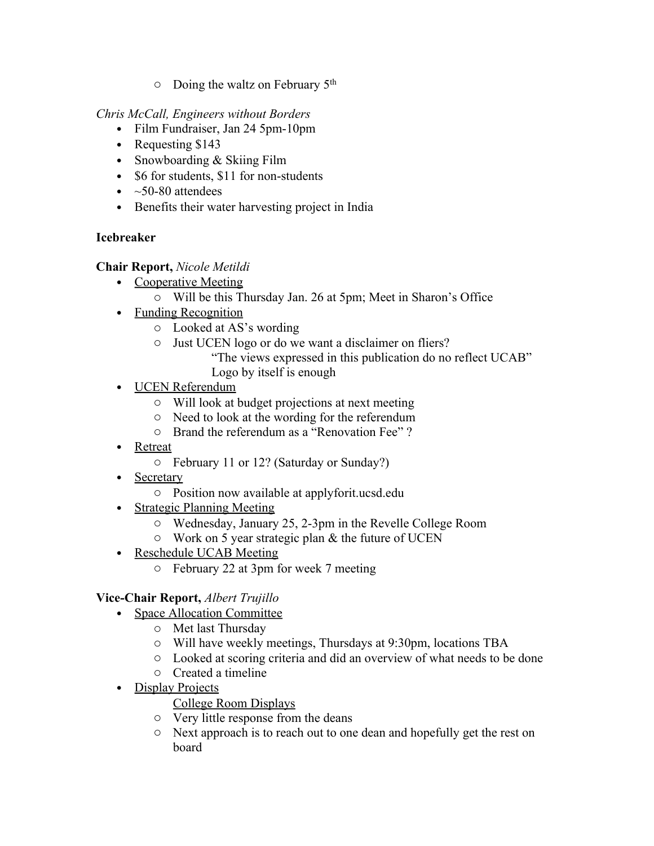o Doing the waltz on February 5th

*Chris McCall, Engineers without Borders*

- Film Fundraiser, Jan 24 5pm-10pm
- Requesting \$143
- Snowboarding & Skiing Film
- \$6 for students, \$11 for non-students
- $\sim$  50-80 attendees
- Benefits their water harvesting project in India

# **Icebreaker**

# **Chair Report,** *Nicole Metildi*

- Cooperative Meeting
	- o Will be this Thursday Jan. 26 at 5pm; Meet in Sharon's Office
- Funding Recognition
	- o Looked at AS's wording
	- o Just UCEN logo or do we want a disclaimer on fliers?
		- "The views expressed in this publication do no reflect UCAB"
			- Logo by itself is enough
- UCEN Referendum
	- o Will look at budget projections at next meeting
	- o Need to look at the wording for the referendum
	- o Brand the referendum as a "Renovation Fee" ?
- **Retreat** 
	- o February 11 or 12? (Saturday or Sunday?)
- Secretary
	- o Position now available at applyforit.ucsd.edu
- Strategic Planning Meeting
	- o Wednesday, January 25, 2-3pm in the Revelle College Room
	- $\circ$  Work on 5 year strategic plan & the future of UCEN
- Reschedule UCAB Meeting
	- o February 22 at 3pm for week 7 meeting

# **Vice-Chair Report,** *Albert Trujillo*

- Space Allocation Committee
	- o Met last Thursday
	- o Will have weekly meetings, Thursdays at 9:30pm, locations TBA
	- o Looked at scoring criteria and did an overview of what needs to be done
	- o Created a timeline
- Display Projects

# College Room Displays

- o Very little response from the deans
- o Next approach is to reach out to one dean and hopefully get the rest on board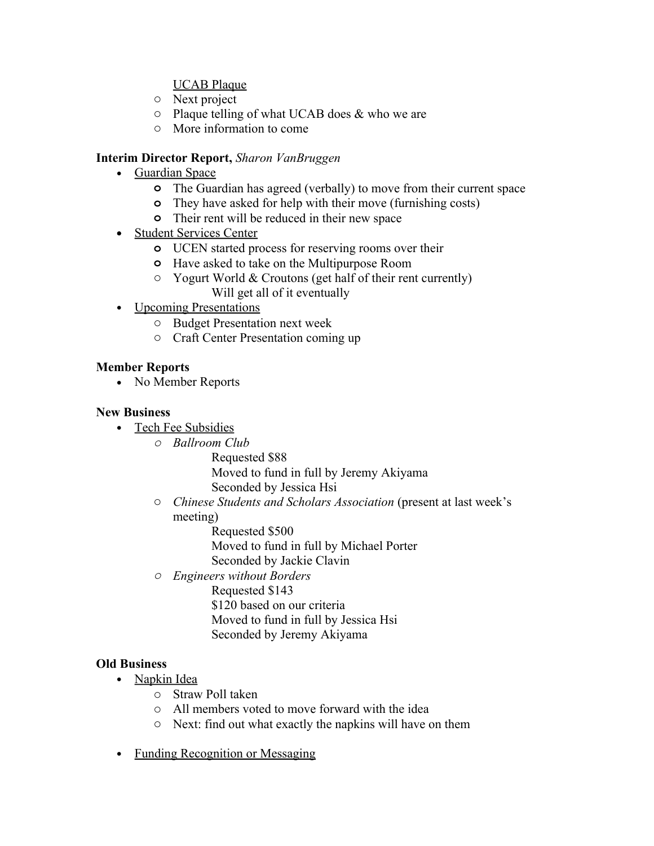### UCAB Plaque

- o Next project
- $\circ$  Plaque telling of what UCAB does & who we are
- o More information to come

### **Interim Director Report,** *Sharon VanBruggen*

- Guardian Space
	- **o** The Guardian has agreed (verbally) to move from their current space
	- **o** They have asked for help with their move (furnishing costs)
	- **o** Their rent will be reduced in their new space
- Student Services Center
	- **o** UCEN started process for reserving rooms over their
	- **o** Have asked to take on the Multipurpose Room
	- o Yogurt World & Croutons (get half of their rent currently) Will get all of it eventually
- Upcoming Presentations
	- o Budget Presentation next week
	- o Craft Center Presentation coming up

### **Member Reports**

• No Member Reports

#### **New Business**

- Tech Fee Subsidies
	- *o Ballroom Club*
		- Requested \$88 Moved to fund in full by Jeremy Akiyama Seconded by Jessica Hsi
	- o *Chinese Students and Scholars Association* (present at last week's meeting)
		- Requested \$500
		- Moved to fund in full by Michael Porter
		- Seconded by Jackie Clavin
	- *o Engineers without Borders*

Requested \$143 \$120 based on our criteria Moved to fund in full by Jessica Hsi Seconded by Jeremy Akiyama

# **Old Business**

- Napkin Idea
	- o Straw Poll taken
	- o All members voted to move forward with the idea
	- o Next: find out what exactly the napkins will have on them
- Funding Recognition or Messaging